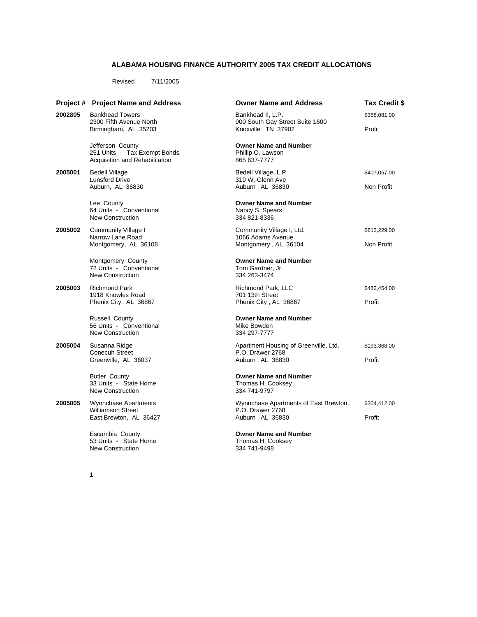### **ALABAMA HOUSING FINANCE AUTHORITY 2005 TAX CREDIT ALLOCATIONS**

Revised 7/11/2005

#### **Project # Project Name and Address Owner Name and Address Tax Credit \$**

**2002805** Bankhead Towers **Bankhead II, L.P. <b>Bankhead II, L.P.** \$368,081.00<br>2300 Fifth Avenue North **Bankhead II, L.P.** \$368,081.00

Jefferson County **Owner Name and Number** 251 Units - Tax Exempt Bonds Acquisition and Rehabilitation 865 637-7777

**2005001** Bedell Village **Bedell Village** Bedell Village, L.P. **1998** State State Bedell Village, L.P. **1998** State Bedell Village, L.P. **Example State Bedell Village** State Bedell Village, L.P. **Example State Bedell Villa** Lunsford Drive 319 W. Glenn Ave

64 Units - Conventional Nancy S. Spears New Construction<br>
New Construction 334 821-8336 New Construction

**2005002** Community Village I Community Village I, Ltd. \$613,229.00

72 Units - Conventional New Construction 334 263-3474

**2005003** Richmond Park **Richmond Park, LLC** \$482,454.00<br>1918 Knowles Road **Richmond Park, LLC** \$482,454.00 1918 Knowles Road Phenix City, AL 36867 Phenix City, AL 36867 Profit

56 Units - Conventional Mike Bowden<br>New Construction Mike Bowden<br>334 297-7777 New Construction

33 Units - State Home<br>New Construction 1997 1997 1998 1999 1997 1997<br>334 741-9797 New Construction

53 Units - State Home New Construction 334 741-9498

900 South Gay Street Suite 1600<br>Knoxville , TN 37902 Birmingham, AL 35203 **Knoxville , TN 37902** Profit

Auburn, AL 36830 Non Profit

Lee County<br> **Conventional**<br> **Conventional**<br> **Conventional**<br> **Conventional**<br> **Conventional**<br> **Conventional**<br> **Conventional**<br> **Conventional**<br> **Conventional** 

1066 Adams Avenue Montgomery, AL 36108 Montgomery , AL 36104 Non Profit

## Montgomery County<br> **Owner Name and Number**<br>
Tom Gardner, Jr.<br> **Conventional**

# Russell County **Owner Name and Number**

**2005004** Susanna Ridge **Apartment Housing of Greenville, Ltd.** \$193,368.00<br>Conecuh Street **Apartment Housing of Greenville, Ltd.** \$193,368.00 P.O. Drawer 2768<br>Auburn , AL 36830 Greenville, AL 36037 Profit and Auburn , AL 36830 Profit

## Butler County **Owner Name and Number**

**2005005** Wynnchase Apartments **12005005** Wynnchase Apartments of East Brewton, \$304,412.00<br>Williamson Street **1200** P.O. Drawer 2768 P.O. Drawer 2768<br>Auburn . AL 36830 East Brewton, AL 36427 **Auburn**, AL 36830 **Profit** 

Escambia County **Owner Name and Number**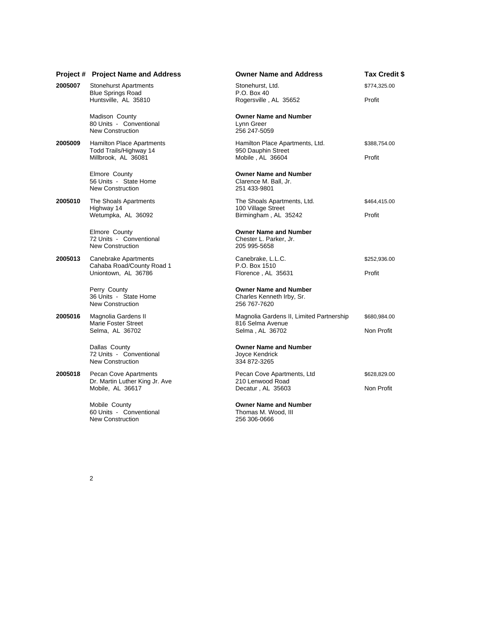|         | <b>Project # Project Name and Address</b>                                  | <b>Owner Name and Address</b>                                             | <b>Tax Credit \$</b>   |
|---------|----------------------------------------------------------------------------|---------------------------------------------------------------------------|------------------------|
| 2005007 | <b>Stonehurst Apartments</b><br><b>Blue Springs Road</b>                   | Stonehurst, Ltd.<br>P.O. Box 40                                           | \$774,325.00           |
|         | Huntsville, AL 35810                                                       | Rogersville, AL 35652                                                     | Profit                 |
|         | Madison County<br>80 Units - Conventional<br><b>New Construction</b>       | <b>Owner Name and Number</b><br>Lynn Greer<br>256 247-5059                |                        |
| 2005009 | Hamilton Place Apartments<br>Todd Trails/Highway 14<br>Millbrook, AL 36081 | Hamilton Place Apartments, Ltd.<br>950 Dauphin Street<br>Mobile, AL 36604 | \$388,754.00<br>Profit |
|         | Elmore County<br>56 Units - State Home<br><b>New Construction</b>          | <b>Owner Name and Number</b><br>Clarence M. Ball, Jr.<br>251 433-9801     |                        |
| 2005010 | The Shoals Apartments                                                      | The Shoals Apartments, Ltd.                                               | \$464,415.00           |
|         | Highway 14<br>Wetumpka, AL 36092                                           | 100 Village Street<br>Birmingham, AL 35242                                | Profit                 |
|         | Elmore County<br>72 Units - Conventional<br><b>New Construction</b>        | <b>Owner Name and Number</b><br>Chester L. Parker, Jr.<br>205 995-5658    |                        |
| 2005013 | Canebrake Apartments                                                       | Canebrake, L.L.C.                                                         | \$252,936.00           |
|         | Cahaba Road/County Road 1<br>Uniontown, AL 36786                           | P.O. Box 1510<br>Florence, AL 35631                                       | Profit                 |
|         | Perry County<br>36 Units - State Home<br><b>New Construction</b>           | <b>Owner Name and Number</b><br>Charles Kenneth Irby, Sr.<br>256 767-7620 |                        |
| 2005016 | Magnolia Gardens II                                                        | Magnolia Gardens II, Limited Partnership                                  | \$680,984.00           |
|         | Marie Foster Street<br>Selma, AL 36702                                     | 816 Selma Avenue<br>Selma, AL 36702                                       | Non Profit             |
|         | Dallas County<br>72 Units - Conventional<br><b>New Construction</b>        | <b>Owner Name and Number</b><br>Joyce Kendrick<br>334 872-3265            |                        |
| 2005018 | Pecan Cove Apartments                                                      | Pecan Cove Apartments, Ltd                                                | \$628,829.00           |
|         | Dr. Martin Luther King Jr. Ave<br>Mobile, AL 36617                         | 210 Lenwood Road<br>Decatur, AL 35603                                     | Non Profit             |
|         | Mobile County<br>60 Units - Conventional<br><b>New Construction</b>        | <b>Owner Name and Number</b><br>Thomas M. Wood, III<br>256 306-0666       |                        |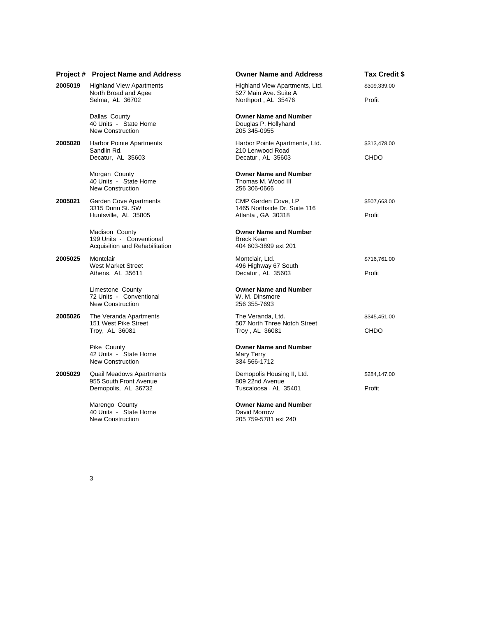|         | <b>Project # Project Name and Address</b>                                    | <b>Owner Name and Address</b>                                             | Tax Credit \$ |
|---------|------------------------------------------------------------------------------|---------------------------------------------------------------------------|---------------|
| 2005019 | <b>Highland View Apartments</b><br>North Broad and Agee<br>Selma, AL 36702   | Highland View Apartments, Ltd.<br>527 Main Ave. Suite A                   | \$309,339.00  |
|         |                                                                              | Northport, AL 35476                                                       | Profit        |
|         | Dallas County<br>40 Units - State Home<br>New Construction                   | <b>Owner Name and Number</b><br>Douglas P. Hollyhand<br>205 345-0955      |               |
| 2005020 | Harbor Pointe Apartments<br>Sandlin Rd.                                      | Harbor Pointe Apartments, Ltd.<br>210 Lenwood Road<br>Decatur, AL 35603   | \$313,478.00  |
|         | Decatur, AL 35603                                                            |                                                                           | CHDO          |
|         | Morgan County<br>40 Units - State Home<br><b>New Construction</b>            | <b>Owner Name and Number</b><br>Thomas M. Wood III<br>256 306-0666        |               |
| 2005021 | <b>Garden Cove Apartments</b><br>3315 Dunn St. SW<br>Huntsville, AL 35805    | CMP Garden Cove, LP<br>1465 Northside Dr. Suite 116<br>Atlanta, GA 30318  | \$507,663.00  |
|         |                                                                              |                                                                           | Profit        |
|         | Madison County<br>199 Units - Conventional<br>Acquisition and Rehabilitation | <b>Owner Name and Number</b><br><b>Breck Kean</b><br>404 603-3899 ext 201 |               |
| 2005025 | Montclair<br><b>West Market Street</b><br>Athens, AL 35611                   | Montclair, Ltd.<br>496 Highway 67 South<br>Decatur, AL 35603              | \$716,761.00  |
|         |                                                                              |                                                                           | Profit        |
|         | Limestone County<br>72 Units - Conventional<br><b>New Construction</b>       | <b>Owner Name and Number</b><br>W. M. Dinsmore<br>256 355-7693            |               |
| 2005026 | The Veranda Apartments<br>151 West Pike Street<br>Troy, AL 36081             | The Veranda, Ltd.<br>507 North Three Notch Street<br>Troy, AL 36081       | \$345,451.00  |
|         |                                                                              |                                                                           | CHDO          |
|         | Pike County<br>42 Units - State Home<br><b>New Construction</b>              | <b>Owner Name and Number</b><br>Mary Terry<br>334 566-1712                |               |
| 2005029 | <b>Quail Meadows Apartments</b><br>955 South Front Avenue                    | Demopolis Housing II, Ltd.<br>809 22nd Avenue                             | \$284,147.00  |
|         | Demopolis, AL 36732                                                          | Tuscaloosa, AL 35401                                                      | Profit        |
|         | Marengo County<br>40 Units - State Home<br>New Construction                  | <b>Owner Name and Number</b><br>David Morrow<br>205 759-5781 ext 240      |               |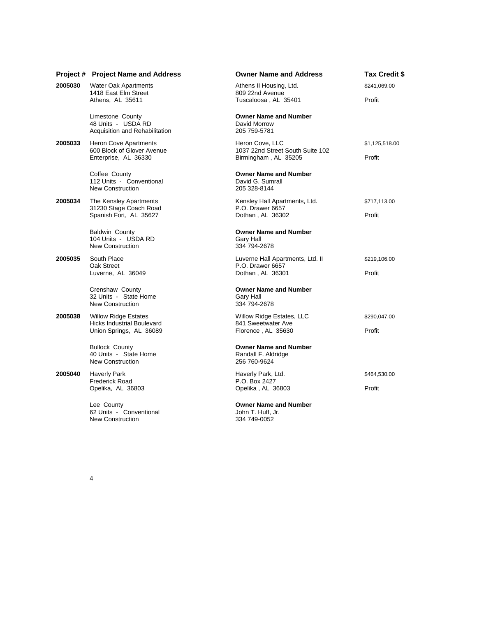|         | <b>Project # Project Name and Address</b>                                 | <b>Owner Name and Address</b>                                       | Tax Credit \$  |
|---------|---------------------------------------------------------------------------|---------------------------------------------------------------------|----------------|
| 2005030 | <b>Water Oak Apartments</b><br>1418 East Elm Street                       | Athens II Housing, Ltd.<br>809 22nd Avenue                          | \$241,069.00   |
|         | Athens, AL 35611                                                          | Tuscaloosa, AL 35401                                                | Profit         |
|         | Limestone County<br>48 Units - USDA RD<br>Acquisition and Rehabilitation  | <b>Owner Name and Number</b><br>David Morrow<br>205 759-5781        |                |
| 2005033 | Heron Cove Apartments                                                     | Heron Cove, LLC                                                     | \$1,125,518.00 |
|         | 600 Block of Glover Avenue<br>Enterprise, AL 36330                        | 1037 22nd Street South Suite 102<br>Birmingham, AL 35205            | Profit         |
|         | Coffee County<br>112 Units - Conventional<br><b>New Construction</b>      | <b>Owner Name and Number</b><br>David G. Sumrall<br>205 328-8144    |                |
| 2005034 | The Kensley Apartments<br>31230 Stage Coach Road                          | Kensley Hall Apartments, Ltd.<br>P.O. Drawer 6657                   | \$717,113.00   |
|         | Spanish Fort, AL 35627                                                    | Dothan, AL 36302                                                    | Profit         |
|         | <b>Baldwin County</b><br>104 Units - USDA RD<br><b>New Construction</b>   | <b>Owner Name and Number</b><br>Gary Hall<br>334 794-2678           |                |
| 2005035 | South Place<br>Oak Street                                                 | Luverne Hall Apartments, Ltd. II<br>P.O. Drawer 6657                | \$219,106.00   |
|         | Luverne, AL 36049                                                         | Dothan, AL 36301                                                    | Profit         |
|         | Crenshaw County<br>32 Units - State Home<br><b>New Construction</b>       | <b>Owner Name and Number</b><br>Gary Hall<br>334 794-2678           |                |
| 2005038 | <b>Willow Ridge Estates</b><br><b>Hicks Industrial Boulevard</b>          | Willow Ridge Estates, LLC<br>841 Sweetwater Ave                     | \$290,047.00   |
|         | Union Springs, AL 36089                                                   | Florence, AL 35630                                                  | Profit         |
|         | <b>Bullock County</b><br>40 Units - State Home<br><b>New Construction</b> | <b>Owner Name and Number</b><br>Randall F. Aldridge<br>256 760-9624 |                |
| 2005040 | <b>Haverly Park</b><br><b>Frederick Road</b>                              | Haverly Park, Ltd.<br>P.O. Box 2427                                 | \$464,530.00   |
|         | Opelika, AL 36803                                                         | Opelika, AL 36803                                                   | Profit         |
|         | Lee County<br>62 Units - Conventional<br><b>New Construction</b>          | <b>Owner Name and Number</b><br>John T. Huff, Jr.<br>334 749-0052   |                |